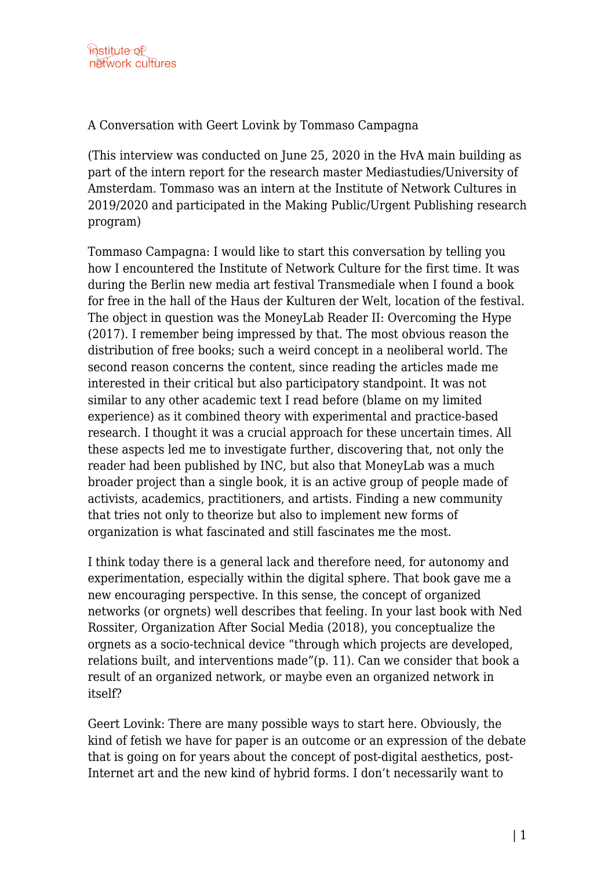A Conversation with Geert Lovink by Tommaso Campagna

(This interview was conducted on June 25, 2020 in the HvA main building as part of the intern report for the research master Mediastudies/University of Amsterdam. Tommaso was an intern at the Institute of Network Cultures in 2019/2020 and participated in the Making Public/Urgent Publishing research program)

Tommaso Campagna: I would like to start this conversation by telling you how I encountered the Institute of Network Culture for the first time. It was during the Berlin new media art festival Transmediale when I found a book for free in the hall of the Haus der Kulturen der Welt, location of the festival. The object in question was the MoneyLab Reader II: Overcoming the Hype (2017). I remember being impressed by that. The most obvious reason the distribution of free books; such a weird concept in a neoliberal world. The second reason concerns the content, since reading the articles made me interested in their critical but also participatory standpoint. It was not similar to any other academic text I read before (blame on my limited experience) as it combined theory with experimental and practice-based research. I thought it was a crucial approach for these uncertain times. All these aspects led me to investigate further, discovering that, not only the reader had been published by INC, but also that MoneyLab was a much broader project than a single book, it is an active group of people made of activists, academics, practitioners, and artists. Finding a new community that tries not only to theorize but also to implement new forms of organization is what fascinated and still fascinates me the most.

I think today there is a general lack and therefore need, for autonomy and experimentation, especially within the digital sphere. That book gave me a new encouraging perspective. In this sense, the concept of organized networks (or orgnets) well describes that feeling. In your last book with Ned Rossiter, Organization After Social Media (2018), you conceptualize the orgnets as a socio-technical device "through which projects are developed, relations built, and interventions made"(p. 11). Can we consider that book a result of an organized network, or maybe even an organized network in itself?

Geert Lovink: There are many possible ways to start here. Obviously, the kind of fetish we have for paper is an outcome or an expression of the debate that is going on for years about the concept of post-digital aesthetics, post-Internet art and the new kind of hybrid forms. I don't necessarily want to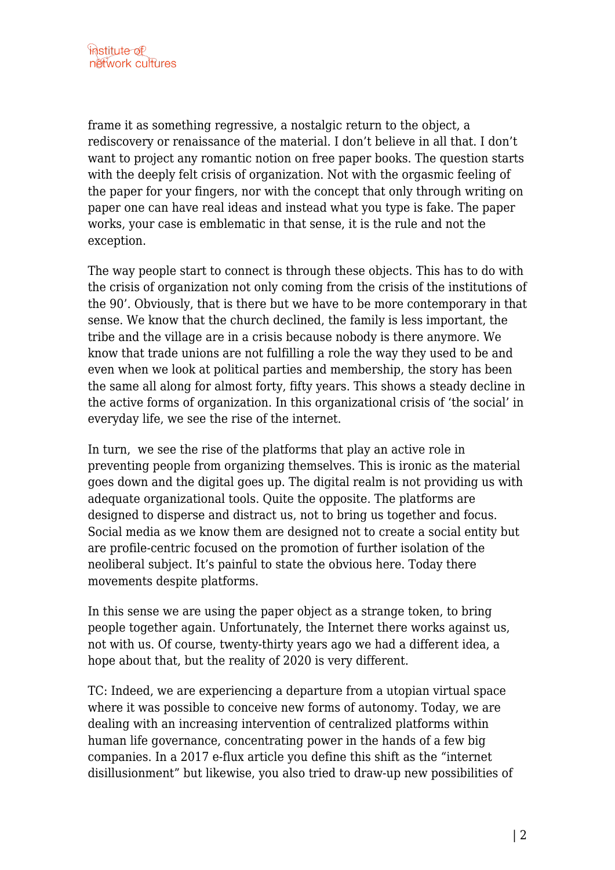frame it as something regressive, a nostalgic return to the object, a rediscovery or renaissance of the material. I don't believe in all that. I don't want to project any romantic notion on free paper books. The question starts with the deeply felt crisis of organization. Not with the orgasmic feeling of the paper for your fingers, nor with the concept that only through writing on paper one can have real ideas and instead what you type is fake. The paper works, your case is emblematic in that sense, it is the rule and not the exception.

The way people start to connect is through these objects. This has to do with the crisis of organization not only coming from the crisis of the institutions of the 90'. Obviously, that is there but we have to be more contemporary in that sense. We know that the church declined, the family is less important, the tribe and the village are in a crisis because nobody is there anymore. We know that trade unions are not fulfilling a role the way they used to be and even when we look at political parties and membership, the story has been the same all along for almost forty, fifty years. This shows a steady decline in the active forms of organization. In this organizational crisis of 'the social' in everyday life, we see the rise of the internet.

In turn, we see the rise of the platforms that play an active role in preventing people from organizing themselves. This is ironic as the material goes down and the digital goes up. The digital realm is not providing us with adequate organizational tools. Quite the opposite. The platforms are designed to disperse and distract us, not to bring us together and focus. Social media as we know them are designed not to create a social entity but are profile-centric focused on the promotion of further isolation of the neoliberal subject. It's painful to state the obvious here. Today there movements despite platforms.

In this sense we are using the paper object as a strange token, to bring people together again. Unfortunately, the Internet there works against us, not with us. Of course, twenty-thirty years ago we had a different idea, a hope about that, but the reality of 2020 is very different.

TC: Indeed, we are experiencing a departure from a utopian virtual space where it was possible to conceive new forms of autonomy. Today, we are dealing with an increasing intervention of centralized platforms within human life governance, concentrating power in the hands of a few big companies. In a 2017 e-flux article you define this shift as the "internet disillusionment" but likewise, you also tried to draw-up new possibilities of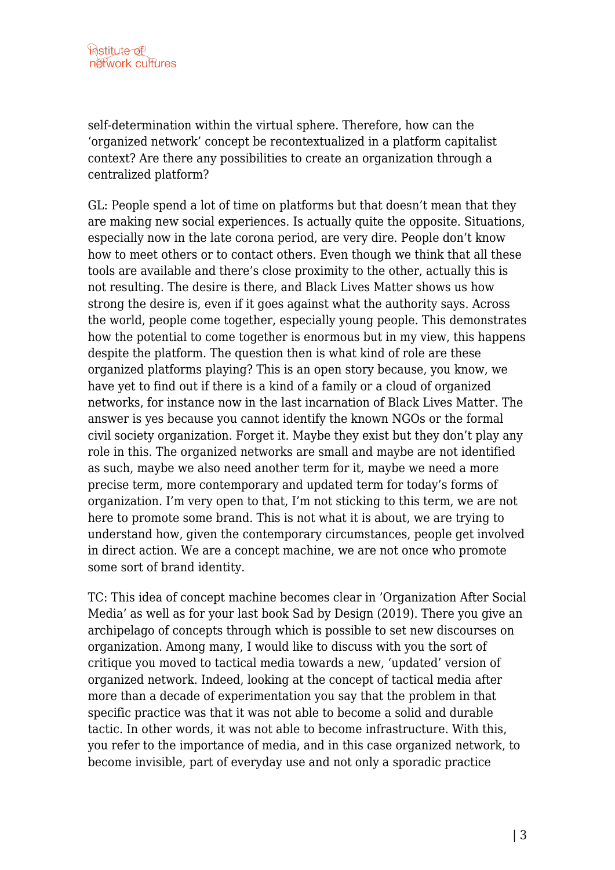self-determination within the virtual sphere. Therefore, how can the 'organized network' concept be recontextualized in a platform capitalist context? Are there any possibilities to create an organization through a centralized platform?

GL: People spend a lot of time on platforms but that doesn't mean that they are making new social experiences. Is actually quite the opposite. Situations, especially now in the late corona period, are very dire. People don't know how to meet others or to contact others. Even though we think that all these tools are available and there's close proximity to the other, actually this is not resulting. The desire is there, and Black Lives Matter shows us how strong the desire is, even if it goes against what the authority says. Across the world, people come together, especially young people. This demonstrates how the potential to come together is enormous but in my view, this happens despite the platform. The question then is what kind of role are these organized platforms playing? This is an open story because, you know, we have yet to find out if there is a kind of a family or a cloud of organized networks, for instance now in the last incarnation of Black Lives Matter. The answer is yes because you cannot identify the known NGOs or the formal civil society organization. Forget it. Maybe they exist but they don't play any role in this. The organized networks are small and maybe are not identified as such, maybe we also need another term for it, maybe we need a more precise term, more contemporary and updated term for today's forms of organization. I'm very open to that, I'm not sticking to this term, we are not here to promote some brand. This is not what it is about, we are trying to understand how, given the contemporary circumstances, people get involved in direct action. We are a concept machine, we are not once who promote some sort of brand identity.

TC: This idea of concept machine becomes clear in 'Organization After Social Media' as well as for your last book Sad by Design (2019). There you give an archipelago of concepts through which is possible to set new discourses on organization. Among many, I would like to discuss with you the sort of critique you moved to tactical media towards a new, 'updated' version of organized network. Indeed, looking at the concept of tactical media after more than a decade of experimentation you say that the problem in that specific practice was that it was not able to become a solid and durable tactic. In other words, it was not able to become infrastructure. With this, you refer to the importance of media, and in this case organized network, to become invisible, part of everyday use and not only a sporadic practice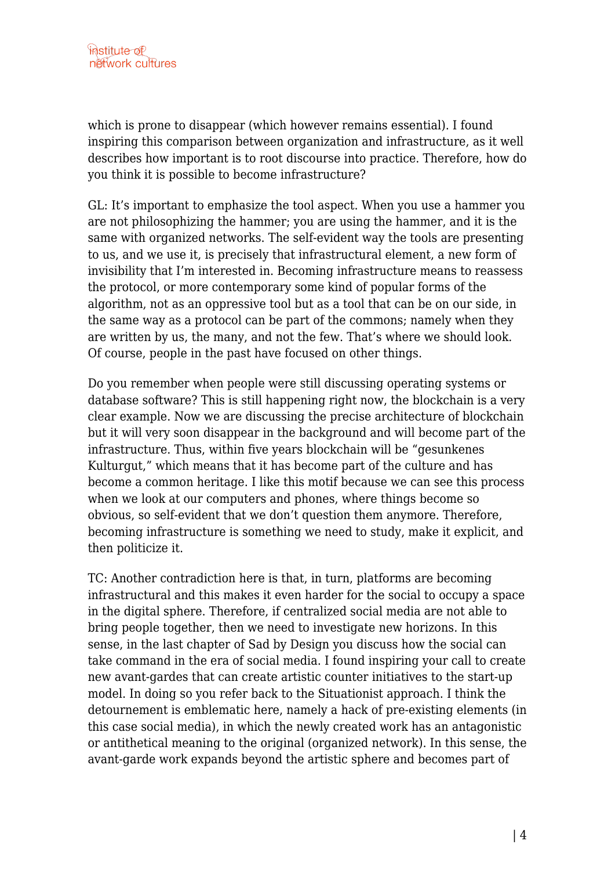which is prone to disappear (which however remains essential). I found inspiring this comparison between organization and infrastructure, as it well describes how important is to root discourse into practice. Therefore, how do you think it is possible to become infrastructure?

GL: It's important to emphasize the tool aspect. When you use a hammer you are not philosophizing the hammer; you are using the hammer, and it is the same with organized networks. The self-evident way the tools are presenting to us, and we use it, is precisely that infrastructural element, a new form of invisibility that I'm interested in. Becoming infrastructure means to reassess the protocol, or more contemporary some kind of popular forms of the algorithm, not as an oppressive tool but as a tool that can be on our side, in the same way as a protocol can be part of the commons; namely when they are written by us, the many, and not the few. That's where we should look. Of course, people in the past have focused on other things.

Do you remember when people were still discussing operating systems or database software? This is still happening right now, the blockchain is a very clear example. Now we are discussing the precise architecture of blockchain but it will very soon disappear in the background and will become part of the infrastructure. Thus, within five years blockchain will be "gesunkenes Kulturgut," which means that it has become part of the culture and has become a common heritage. I like this motif because we can see this process when we look at our computers and phones, where things become so obvious, so self-evident that we don't question them anymore. Therefore, becoming infrastructure is something we need to study, make it explicit, and then politicize it.

TC: Another contradiction here is that, in turn, platforms are becoming infrastructural and this makes it even harder for the social to occupy a space in the digital sphere. Therefore, if centralized social media are not able to bring people together, then we need to investigate new horizons. In this sense, in the last chapter of Sad by Design you discuss how the social can take command in the era of social media. I found inspiring your call to create new avant-gardes that can create artistic counter initiatives to the start-up model. In doing so you refer back to the Situationist approach. I think the detournement is emblematic here, namely a hack of pre-existing elements (in this case social media), in which the newly created work has an antagonistic or antithetical meaning to the original (organized network). In this sense, the avant-garde work expands beyond the artistic sphere and becomes part of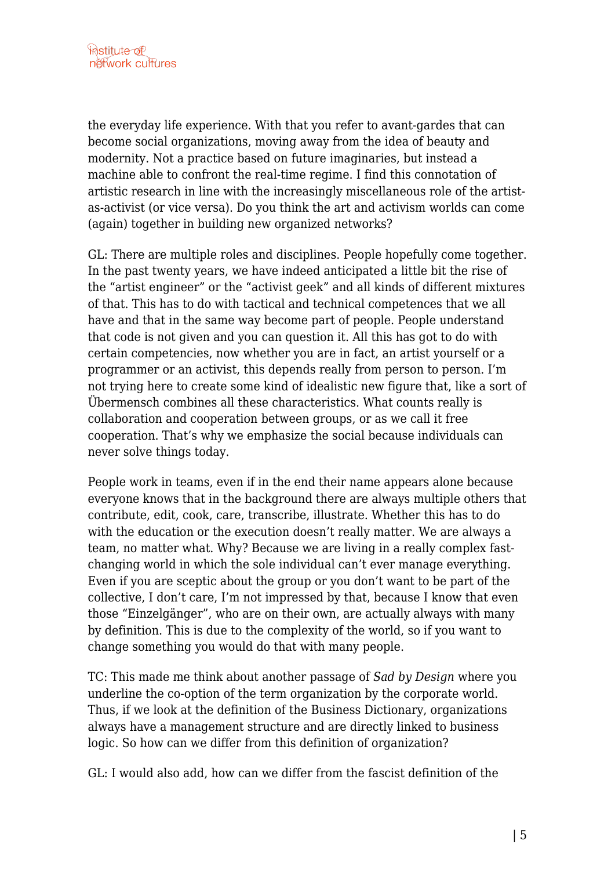the everyday life experience. With that you refer to avant-gardes that can become social organizations, moving away from the idea of beauty and modernity. Not a practice based on future imaginaries, but instead a machine able to confront the real-time regime. I find this connotation of artistic research in line with the increasingly miscellaneous role of the artistas-activist (or vice versa). Do you think the art and activism worlds can come (again) together in building new organized networks?

GL: There are multiple roles and disciplines. People hopefully come together. In the past twenty years, we have indeed anticipated a little bit the rise of the "artist engineer" or the "activist geek" and all kinds of different mixtures of that. This has to do with tactical and technical competences that we all have and that in the same way become part of people. People understand that code is not given and you can question it. All this has got to do with certain competencies, now whether you are in fact, an artist yourself or a programmer or an activist, this depends really from person to person. I'm not trying here to create some kind of idealistic new figure that, like a sort of Übermensch combines all these characteristics. What counts really is collaboration and cooperation between groups, or as we call it free cooperation. That's why we emphasize the social because individuals can never solve things today.

People work in teams, even if in the end their name appears alone because everyone knows that in the background there are always multiple others that contribute, edit, cook, care, transcribe, illustrate. Whether this has to do with the education or the execution doesn't really matter. We are always a team, no matter what. Why? Because we are living in a really complex fastchanging world in which the sole individual can't ever manage everything. Even if you are sceptic about the group or you don't want to be part of the collective, I don't care, I'm not impressed by that, because I know that even those "Einzelgänger", who are on their own, are actually always with many by definition. This is due to the complexity of the world, so if you want to change something you would do that with many people.

TC: This made me think about another passage of *Sad by Design* where you underline the co-option of the term organization by the corporate world. Thus, if we look at the definition of the Business Dictionary, organizations always have a management structure and are directly linked to business logic. So how can we differ from this definition of organization?

GL: I would also add, how can we differ from the fascist definition of the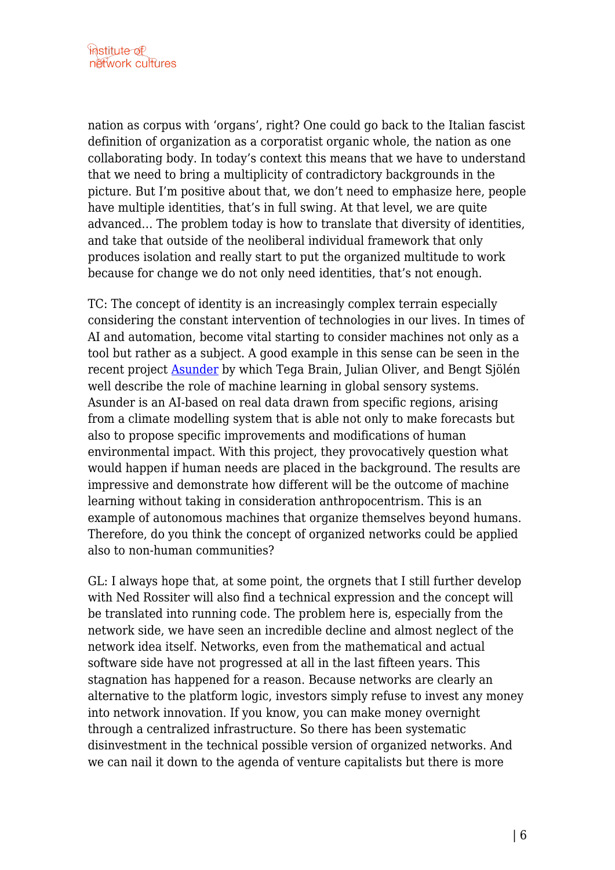nation as corpus with 'organs', right? One could go back to the Italian fascist definition of organization as a corporatist organic whole, the nation as one collaborating body. In today's context this means that we have to understand that we need to bring a multiplicity of contradictory backgrounds in the picture. But I'm positive about that, we don't need to emphasize here, people have multiple identities, that's in full swing. At that level, we are quite advanced… The problem today is how to translate that diversity of identities, and take that outside of the neoliberal individual framework that only produces isolation and really start to put the organized multitude to work because for change we do not only need identities, that's not enough.

TC: The concept of identity is an increasingly complex terrain especially considering the constant intervention of technologies in our lives. In times of AI and automation, become vital starting to consider machines not only as a tool but rather as a subject. A good example in this sense can be seen in the recent project [Asunder](https://2020.transmediale.de/content/asunder) by which Tega Brain, Julian Oliver, and Bengt Sjölén well describe the role of machine learning in global sensory systems. Asunder is an AI-based on real data drawn from specific regions, arising from a climate modelling system that is able not only to make forecasts but also to propose specific improvements and modifications of human environmental impact. With this project, they provocatively question what would happen if human needs are placed in the background. The results are impressive and demonstrate how different will be the outcome of machine learning without taking in consideration anthropocentrism. This is an example of autonomous machines that organize themselves beyond humans. Therefore, do you think the concept of organized networks could be applied also to non-human communities?

GL: I always hope that, at some point, the orgnets that I still further develop with Ned Rossiter will also find a technical expression and the concept will be translated into running code. The problem here is, especially from the network side, we have seen an incredible decline and almost neglect of the network idea itself. Networks, even from the mathematical and actual software side have not progressed at all in the last fifteen years. This stagnation has happened for a reason. Because networks are clearly an alternative to the platform logic, investors simply refuse to invest any money into network innovation. If you know, you can make money overnight through a centralized infrastructure. So there has been systematic disinvestment in the technical possible version of organized networks. And we can nail it down to the agenda of venture capitalists but there is more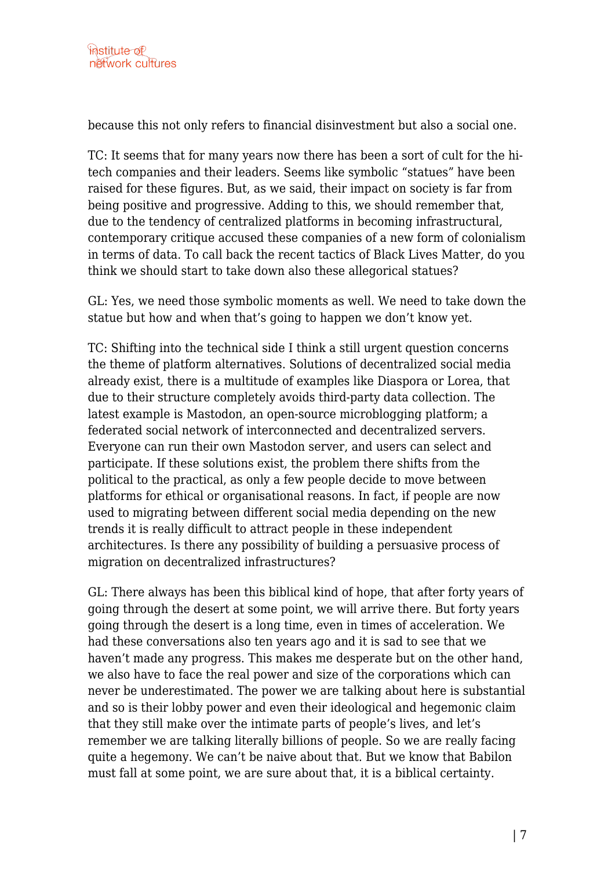because this not only refers to financial disinvestment but also a social one.

TC: It seems that for many years now there has been a sort of cult for the hitech companies and their leaders. Seems like symbolic "statues" have been raised for these figures. But, as we said, their impact on society is far from being positive and progressive. Adding to this, we should remember that, due to the tendency of centralized platforms in becoming infrastructural, contemporary critique accused these companies of a new form of colonialism in terms of data. To call back the recent tactics of Black Lives Matter, do you think we should start to take down also these allegorical statues?

GL: Yes, we need those symbolic moments as well. We need to take down the statue but how and when that's going to happen we don't know yet.

TC: Shifting into the technical side I think a still urgent question concerns the theme of platform alternatives. Solutions of decentralized social media already exist, there is a multitude of examples like Diaspora or Lorea, that due to their structure completely avoids third-party data collection. The latest example is Mastodon, an open-source microblogging platform; a federated social network of interconnected and decentralized servers. Everyone can run their own Mastodon server, and users can select and participate. If these solutions exist, the problem there shifts from the political to the practical, as only a few people decide to move between platforms for ethical or organisational reasons. In fact, if people are now used to migrating between different social media depending on the new trends it is really difficult to attract people in these independent architectures. Is there any possibility of building a persuasive process of migration on decentralized infrastructures?

GL: There always has been this biblical kind of hope, that after forty years of going through the desert at some point, we will arrive there. But forty years going through the desert is a long time, even in times of acceleration. We had these conversations also ten years ago and it is sad to see that we haven't made any progress. This makes me desperate but on the other hand, we also have to face the real power and size of the corporations which can never be underestimated. The power we are talking about here is substantial and so is their lobby power and even their ideological and hegemonic claim that they still make over the intimate parts of people's lives, and let's remember we are talking literally billions of people. So we are really facing quite a hegemony. We can't be naive about that. But we know that Babilon must fall at some point, we are sure about that, it is a biblical certainty.